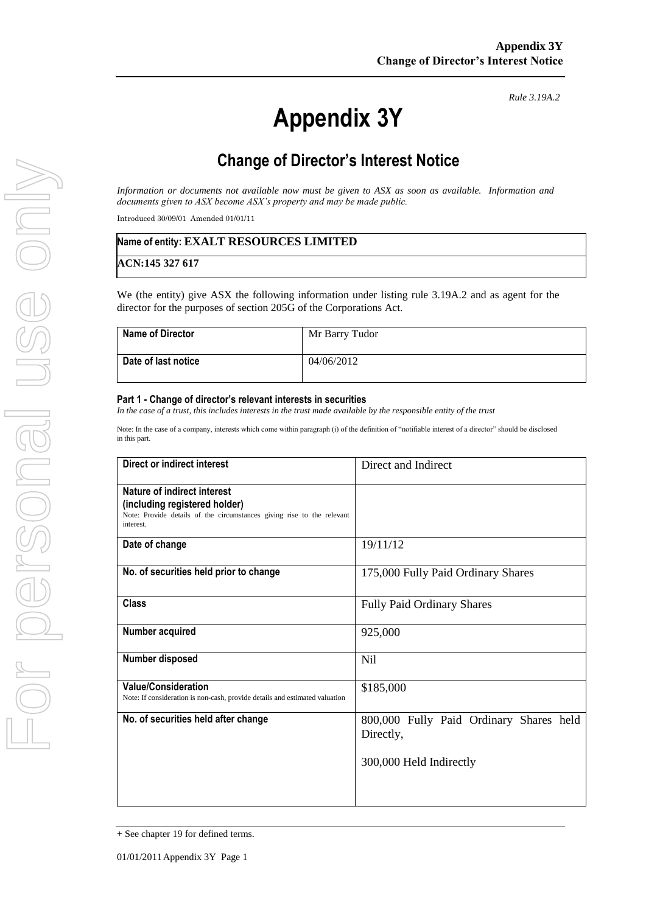# **Appendix 3Y**

*Rule 3.19A.2*

## **Change of Director's Interest Notice**

*Information or documents not available now must be given to ASX as soon as available. Information and documents given to ASX become ASX's property and may be made public.*

Introduced 30/09/01 Amended 01/01/11

#### **Name of entity: EXALT RESOURCES LIMITED**

**ACN:145 327 617**

We (the entity) give ASX the following information under listing rule 3.19A.2 and as agent for the director for the purposes of section 205G of the Corporations Act.

| <b>Name of Director</b> | Mr Barry Tudor |
|-------------------------|----------------|
| Date of last notice     | 04/06/2012     |

#### **Part 1 - Change of director's relevant interests in securities**

*In the case of a trust, this includes interests in the trust made available by the responsible entity of the trust*

Note: In the case of a company, interests which come within paragraph (i) of the definition of "notifiable interest of a director" should be disclosed in this part.

| <b>Direct or indirect interest</b>                                                                                                                  | Direct and Indirect                                                             |
|-----------------------------------------------------------------------------------------------------------------------------------------------------|---------------------------------------------------------------------------------|
| Nature of indirect interest<br>(including registered holder)<br>Note: Provide details of the circumstances giving rise to the relevant<br>interest. |                                                                                 |
| Date of change                                                                                                                                      | 19/11/12                                                                        |
| No. of securities held prior to change                                                                                                              | 175,000 Fully Paid Ordinary Shares                                              |
| <b>Class</b>                                                                                                                                        | <b>Fully Paid Ordinary Shares</b>                                               |
| Number acquired                                                                                                                                     | 925,000                                                                         |
| Number disposed                                                                                                                                     | Nil                                                                             |
| <b>Value/Consideration</b><br>Note: If consideration is non-cash, provide details and estimated valuation                                           | \$185,000                                                                       |
| No. of securities held after change                                                                                                                 | 800,000 Fully Paid Ordinary Shares held<br>Directly,<br>300,000 Held Indirectly |

<sup>+</sup> See chapter 19 for defined terms.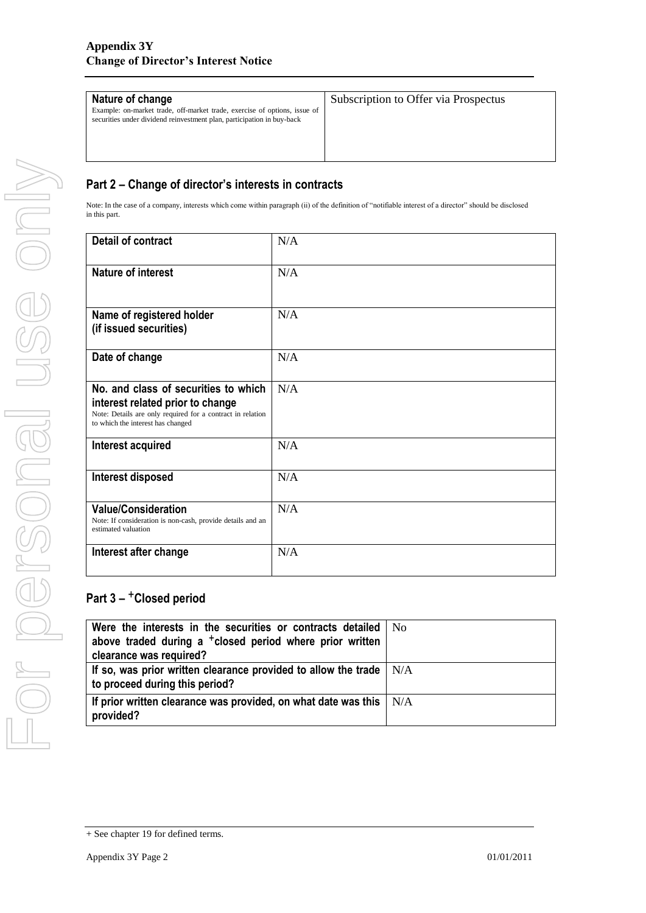| Nature of change<br>Example: on-market trade, off-market trade, exercise of options, issue of<br>securities under dividend reinvestment plan, participation in buy-back | Subscription to Offer via Prospectus |
|-------------------------------------------------------------------------------------------------------------------------------------------------------------------------|--------------------------------------|
|-------------------------------------------------------------------------------------------------------------------------------------------------------------------------|--------------------------------------|

### **Part 2 – Change of director's interests in contracts**

Note: In the case of a company, interests which come within paragraph (ii) of the definition of "notifiable interest of a director" should be disclosed in this part.

| <b>Detail of contract</b>                                                                                                                                                   | N/A |
|-----------------------------------------------------------------------------------------------------------------------------------------------------------------------------|-----|
| <b>Nature of interest</b>                                                                                                                                                   | N/A |
| Name of registered holder<br>(if issued securities)                                                                                                                         | N/A |
| Date of change                                                                                                                                                              | N/A |
| No. and class of securities to which<br>interest related prior to change<br>Note: Details are only required for a contract in relation<br>to which the interest has changed | N/A |
| Interest acquired                                                                                                                                                           | N/A |
| Interest disposed                                                                                                                                                           | N/A |
| <b>Value/Consideration</b><br>Note: If consideration is non-cash, provide details and an<br>estimated valuation                                                             | N/A |
| Interest after change                                                                                                                                                       | N/A |

## **Part 3 –** +**Closed period**

| Were the interests in the securities or contracts detailed   No<br>above traded during a <sup>+</sup> closed period where prior written<br>clearance was required? |     |
|--------------------------------------------------------------------------------------------------------------------------------------------------------------------|-----|
| If so, was prior written clearance provided to allow the trade $\vert$ N/A<br>to proceed during this period?                                                       |     |
| If prior written clearance was provided, on what date was this<br>provided?                                                                                        | N/A |

<sup>+</sup> See chapter 19 for defined terms.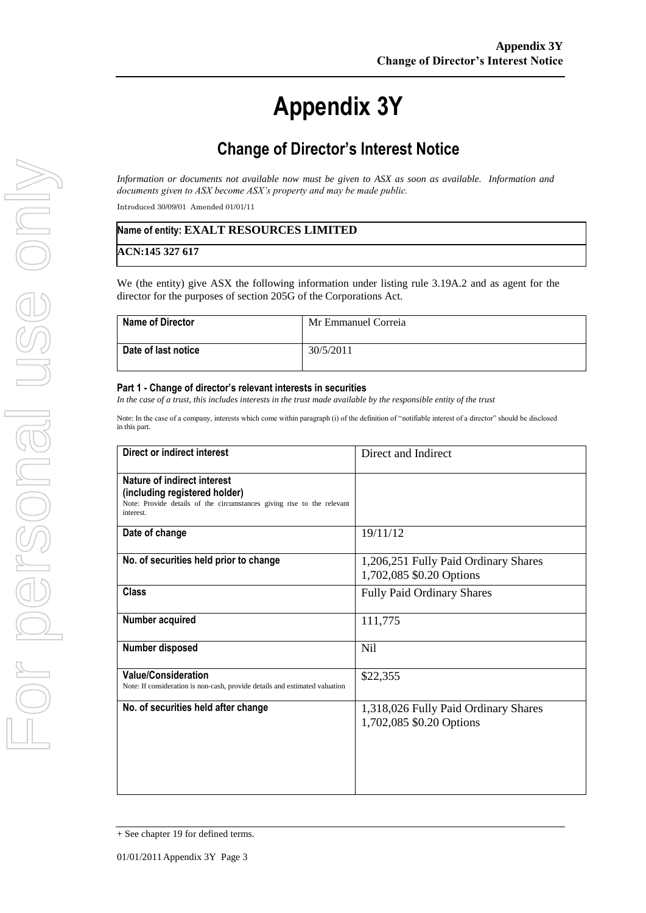# **Appendix 3Y**

## **Change of Director's Interest Notice**

*Information or documents not available now must be given to ASX as soon as available. Information and documents given to ASX become ASX's property and may be made public.*

Introduced 30/09/01 Amended 01/01/11

#### **Name of entity: EXALT RESOURCES LIMITED**

#### **ACN:145 327 617**

We (the entity) give ASX the following information under listing rule 3.19A.2 and as agent for the director for the purposes of section 205G of the Corporations Act.

| <b>Name of Director</b> | Mr Emmanuel Correia |
|-------------------------|---------------------|
| Date of last notice     | 30/5/2011           |

#### **Part 1 - Change of director's relevant interests in securities**

*In the case of a trust, this includes interests in the trust made available by the responsible entity of the trust*

Note: In the case of a company, interests which come within paragraph (i) of the definition of "notifiable interest of a director" should be disclosed in this part.

| Direct or indirect interest                                                                                                                         | Direct and Indirect                                              |
|-----------------------------------------------------------------------------------------------------------------------------------------------------|------------------------------------------------------------------|
| Nature of indirect interest<br>(including registered holder)<br>Note: Provide details of the circumstances giving rise to the relevant<br>interest. |                                                                  |
| Date of change                                                                                                                                      | 19/11/12                                                         |
| No. of securities held prior to change                                                                                                              | 1,206,251 Fully Paid Ordinary Shares<br>1,702,085 \$0.20 Options |
| <b>Class</b>                                                                                                                                        | <b>Fully Paid Ordinary Shares</b>                                |
| Number acquired                                                                                                                                     | 111,775                                                          |
| Number disposed                                                                                                                                     | Nil                                                              |
| <b>Value/Consideration</b><br>Note: If consideration is non-cash, provide details and estimated valuation                                           | \$22,355                                                         |
| No. of securities held after change                                                                                                                 | 1,318,026 Fully Paid Ordinary Shares<br>1,702,085 \$0.20 Options |

<sup>+</sup> See chapter 19 for defined terms.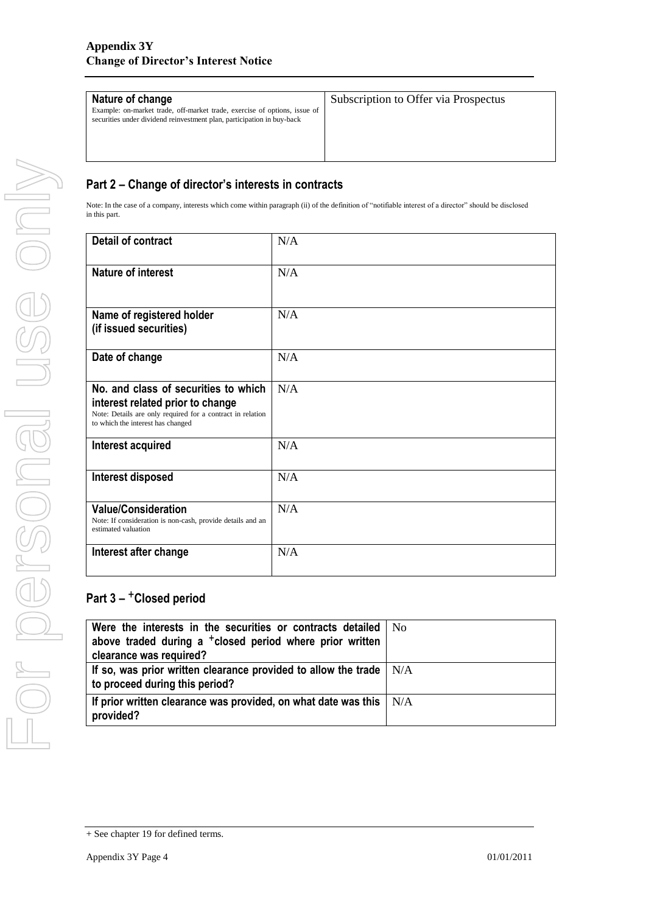| Nature of change<br>Example: on-market trade, off-market trade, exercise of options, issue of<br>securities under dividend reinvestment plan, participation in buy-back | Subscription to Offer via Prospectus |
|-------------------------------------------------------------------------------------------------------------------------------------------------------------------------|--------------------------------------|
|-------------------------------------------------------------------------------------------------------------------------------------------------------------------------|--------------------------------------|

### **Part 2 – Change of director's interests in contracts**

Note: In the case of a company, interests which come within paragraph (ii) of the definition of "notifiable interest of a director" should be disclosed in this part.

| <b>Detail of contract</b>                                                                                                                                                   | N/A |
|-----------------------------------------------------------------------------------------------------------------------------------------------------------------------------|-----|
| <b>Nature of interest</b>                                                                                                                                                   | N/A |
| Name of registered holder<br>(if issued securities)                                                                                                                         | N/A |
| Date of change                                                                                                                                                              | N/A |
| No. and class of securities to which<br>interest related prior to change<br>Note: Details are only required for a contract in relation<br>to which the interest has changed | N/A |
| Interest acquired                                                                                                                                                           | N/A |
| Interest disposed                                                                                                                                                           | N/A |
| <b>Value/Consideration</b><br>Note: If consideration is non-cash, provide details and an<br>estimated valuation                                                             | N/A |
| Interest after change                                                                                                                                                       | N/A |

## **Part 3 –** +**Closed period**

| Were the interests in the securities or contracts detailed   No      |     |
|----------------------------------------------------------------------|-----|
| above traded during a <sup>+</sup> closed period where prior written |     |
| clearance was required?                                              |     |
| If so, was prior written clearance provided to allow the trade       | N/A |
| to proceed during this period?                                       |     |
| If prior written clearance was provided, on what date was this       | N/A |
| provided?                                                            |     |

<sup>+</sup> See chapter 19 for defined terms.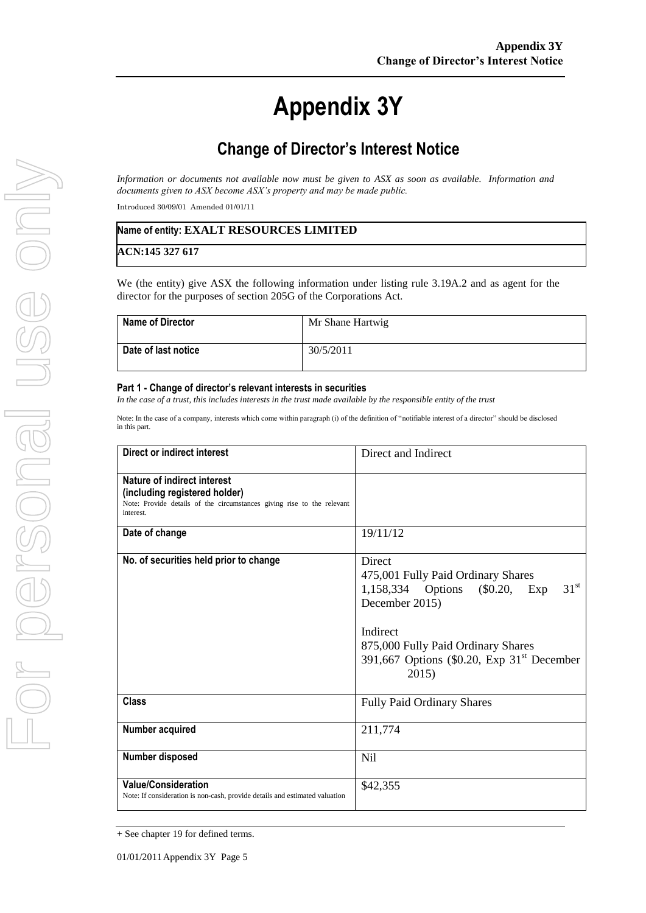# **Appendix 3Y**

## **Change of Director's Interest Notice**

*Information or documents not available now must be given to ASX as soon as available. Information and documents given to ASX become ASX's property and may be made public.*

Introduced 30/09/01 Amended 01/01/11

#### **Name of entity: EXALT RESOURCES LIMITED**

#### **ACN:145 327 617**

We (the entity) give ASX the following information under listing rule 3.19A.2 and as agent for the director for the purposes of section 205G of the Corporations Act.

| <b>Name of Director</b> | Mr Shane Hartwig |
|-------------------------|------------------|
| Date of last notice     | 30/5/2011        |

#### **Part 1 - Change of director's relevant interests in securities**

*In the case of a trust, this includes interests in the trust made available by the responsible entity of the trust*

Note: In the case of a company, interests which come within paragraph (i) of the definition of "notifiable interest of a director" should be disclosed in this part.

| <b>Direct or indirect interest</b>                                                                                                                  | Direct and Indirect                                                                                                                                                                                                                    |
|-----------------------------------------------------------------------------------------------------------------------------------------------------|----------------------------------------------------------------------------------------------------------------------------------------------------------------------------------------------------------------------------------------|
| Nature of indirect interest<br>(including registered holder)<br>Note: Provide details of the circumstances giving rise to the relevant<br>interest. |                                                                                                                                                                                                                                        |
| Date of change                                                                                                                                      | 19/11/12                                                                                                                                                                                                                               |
| No. of securities held prior to change                                                                                                              | Direct<br>475,001 Fully Paid Ordinary Shares<br>31 <sup>st</sup><br>1,158,334 Options<br>$\$0.20,$<br>Exp<br>December 2015)<br>Indirect<br>875,000 Fully Paid Ordinary Shares<br>391,667 Options (\$0.20, Exp $31st$ December<br>2015) |
| <b>Class</b>                                                                                                                                        | Fully Paid Ordinary Shares                                                                                                                                                                                                             |
| Number acquired                                                                                                                                     | 211,774                                                                                                                                                                                                                                |
| Number disposed                                                                                                                                     | Nil                                                                                                                                                                                                                                    |
| <b>Value/Consideration</b><br>Note: If consideration is non-cash, provide details and estimated valuation                                           | \$42,355                                                                                                                                                                                                                               |

<sup>+</sup> See chapter 19 for defined terms.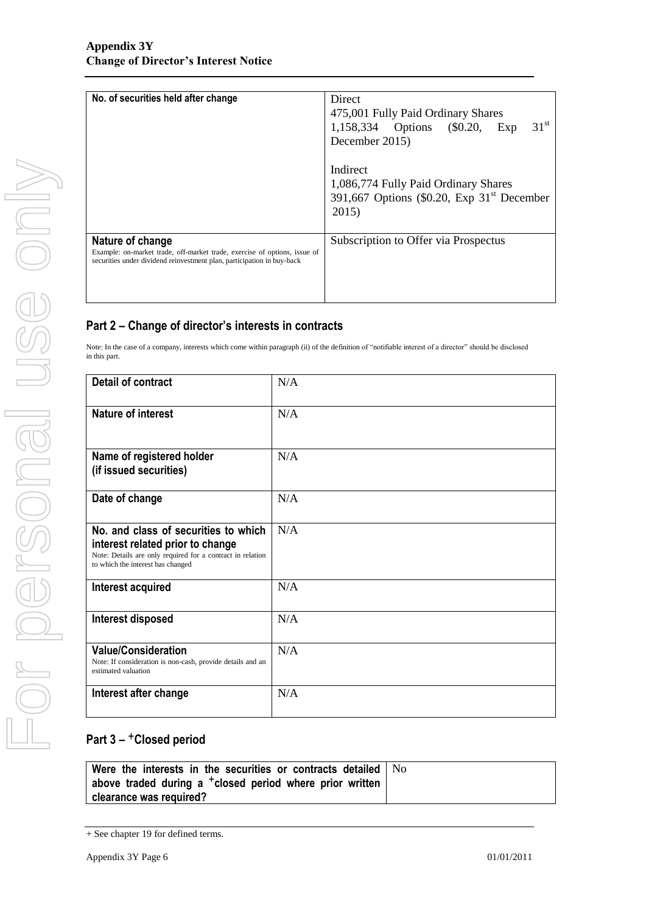| No. of securities held after change                                                                                                                 | Direct<br>475,001 Fully Paid Ordinary Shares                                         |  |
|-----------------------------------------------------------------------------------------------------------------------------------------------------|--------------------------------------------------------------------------------------|--|
|                                                                                                                                                     | 31 <sup>st</sup><br>1,158,334 Options (\$0.20,<br>Exp                                |  |
|                                                                                                                                                     | December 2015)                                                                       |  |
|                                                                                                                                                     | Indirect                                                                             |  |
|                                                                                                                                                     | 1,086,774 Fully Paid Ordinary Shares<br>391,667 Options (\$0.20, Exp $31st$ December |  |
|                                                                                                                                                     | 2015)                                                                                |  |
| Nature of change                                                                                                                                    | Subscription to Offer via Prospectus                                                 |  |
| Example: on-market trade, off-market trade, exercise of options, issue of<br>securities under dividend reinvestment plan, participation in buy-back |                                                                                      |  |
|                                                                                                                                                     |                                                                                      |  |
|                                                                                                                                                     |                                                                                      |  |

### **Part 2 – Change of director's interests in contracts**

Note: In the case of a company, interests which come within paragraph (ii) of the definition of "notifiable interest of a director" should be disclosed in this part.

| <b>Detail of contract</b>                                                                                                                                                   | N/A |
|-----------------------------------------------------------------------------------------------------------------------------------------------------------------------------|-----|
| Nature of interest                                                                                                                                                          | N/A |
| Name of registered holder<br>(if issued securities)                                                                                                                         | N/A |
| Date of change                                                                                                                                                              | N/A |
| No. and class of securities to which<br>interest related prior to change<br>Note: Details are only required for a contract in relation<br>to which the interest has changed | N/A |
| Interest acquired                                                                                                                                                           | N/A |
| Interest disposed                                                                                                                                                           | N/A |
| <b>Value/Consideration</b><br>Note: If consideration is non-cash, provide details and an<br>estimated valuation                                                             | N/A |
| Interest after change                                                                                                                                                       | N/A |

## **Part 3 –** +**Closed period**

| Were the interests in the securities or contracts detailed $\vert$ No |  |
|-----------------------------------------------------------------------|--|
| above traded during a <sup>+</sup> closed period where prior written  |  |
| clearance was required?                                               |  |

<sup>+</sup> See chapter 19 for defined terms.